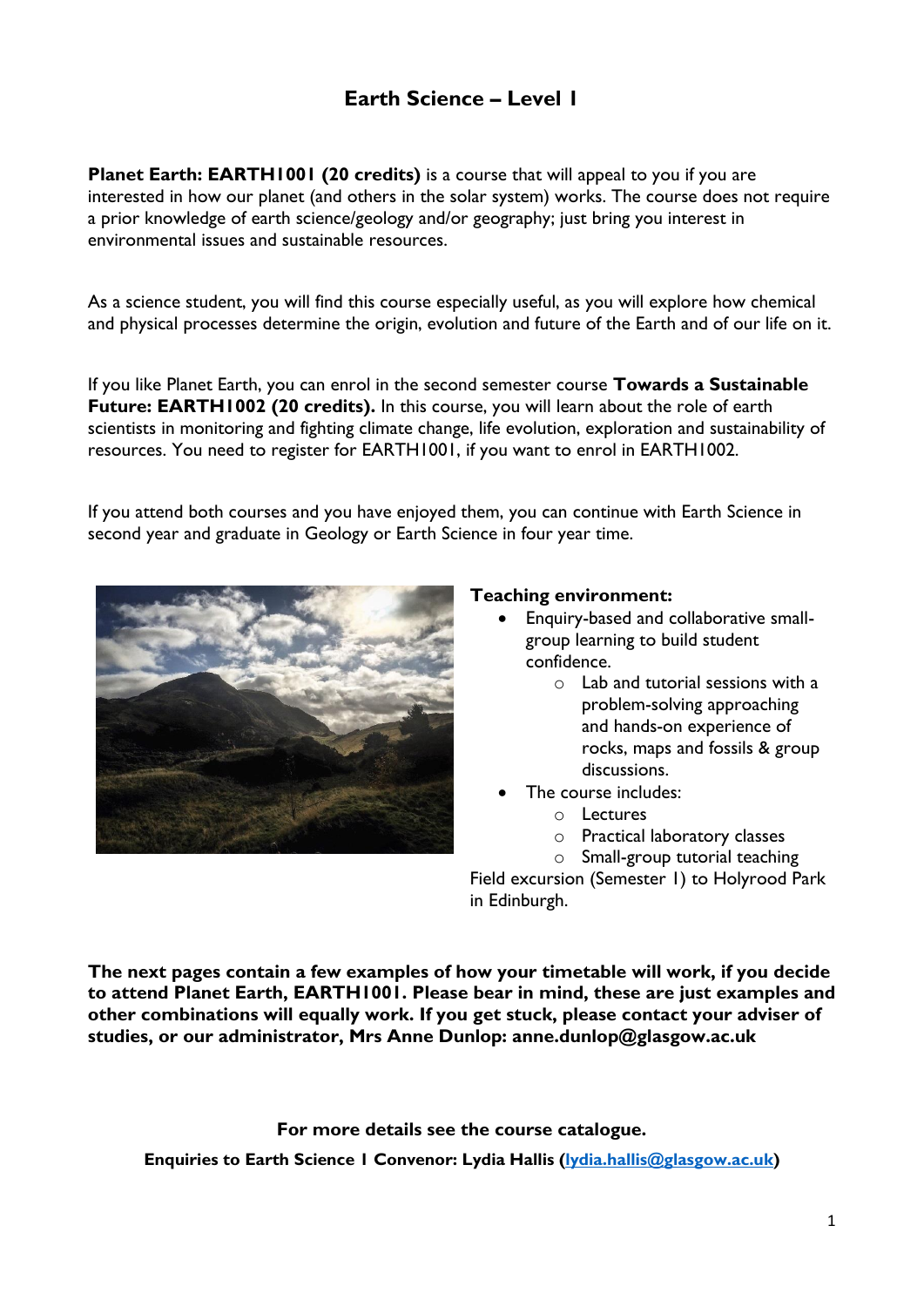## **Earth Science – Level 1**

**Planet Earth: EARTH1001 (20 credits)** is a course that will appeal to you if you are interested in how our planet (and others in the solar system) works. The course does not require a prior knowledge of earth science/geology and/or geography; just bring you interest in environmental issues and sustainable resources.

As a science student, you will find this course especially useful, as you will explore how chemical and physical processes determine the origin, evolution and future of the Earth and of our life on it.

If you like Planet Earth, you can enrol in the second semester course **Towards a Sustainable Future: EARTH1002 (20 credits).** In this course, you will learn about the role of earth scientists in monitoring and fighting climate change, life evolution, exploration and sustainability of resources. You need to register for EARTH1001, if you want to enrol in EARTH1002.

If you attend both courses and you have enjoyed them, you can continue with Earth Science in second year and graduate in Geology or Earth Science in four year time.



## **Teaching environment:**

- Enquiry-based and collaborative smallgroup learning to build student confidence.
	- o Lab and tutorial sessions with a problem-solving approaching and hands-on experience of rocks, maps and fossils & group discussions.
- The course includes:
	- o Lectures
	- o Practical laboratory classes
	- o Small-group tutorial teaching

Field excursion (Semester 1) to Holyrood Park in Edinburgh.

**The next pages contain a few examples of how your timetable will work, if you decide to attend Planet Earth, EARTH1001. Please bear in mind, these are just examples and other combinations will equally work. If you get stuck, please contact your adviser of studies, or our administrator, Mrs Anne Dunlop: anne.dunlop@glasgow.ac.uk**

**For more details see the course catalogue. Enquiries to Earth Science 1 Convenor: Lydia Hallis [\(lydia.hallis@glasgow.ac.uk\)](mailto:lydia.hallis@glasgow.ac.uk)**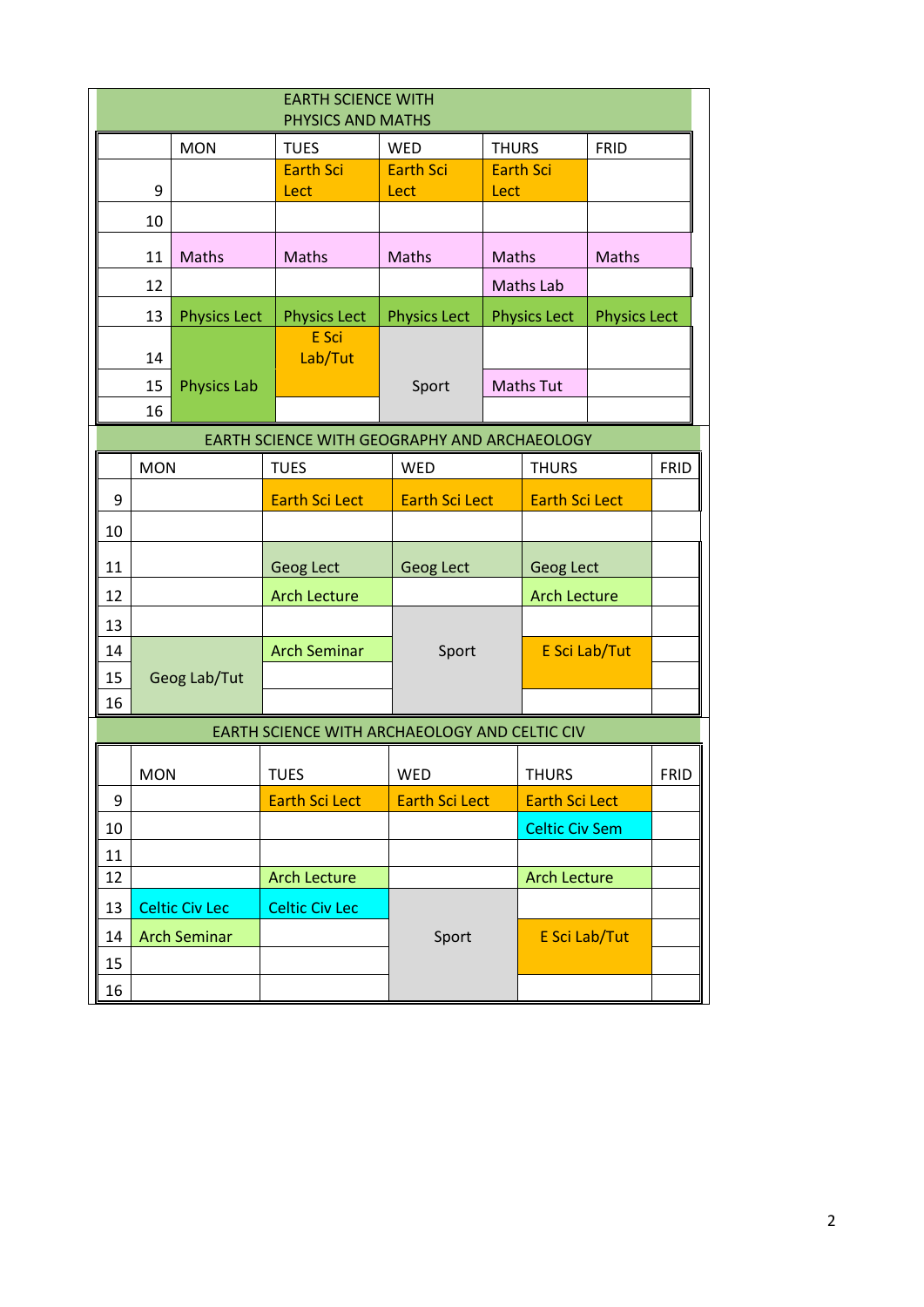| <b>EARTH SCIENCE WITH</b><br>PHYSICS AND MATHS |                                                    |                     |                                               |                       |                       |                       |                       |      |             |  |
|------------------------------------------------|----------------------------------------------------|---------------------|-----------------------------------------------|-----------------------|-----------------------|-----------------------|-----------------------|------|-------------|--|
|                                                |                                                    | <b>MON</b>          | <b>TUES</b>                                   | <b>WED</b>            | <b>THURS</b>          |                       | FRID                  |      |             |  |
|                                                |                                                    |                     | <b>Earth Sci</b>                              | <b>Earth Sci</b>      |                       | <b>Earth Sci</b>      |                       |      |             |  |
|                                                | 9                                                  |                     | Lect                                          | Lect<br>Lect          |                       |                       |                       |      |             |  |
|                                                | 10                                                 |                     |                                               |                       |                       |                       |                       |      |             |  |
|                                                | 11                                                 | Maths               | Maths                                         | Maths                 | Maths                 |                       | Maths                 |      |             |  |
|                                                | 12                                                 |                     |                                               |                       | <b>Maths Lab</b>      |                       |                       |      |             |  |
|                                                | 13                                                 | <b>Physics Lect</b> | <b>Physics Lect</b>                           | <b>Physics Lect</b>   | <b>Physics Lect</b>   |                       | <b>Physics Lect</b>   |      |             |  |
|                                                |                                                    |                     | E Sci                                         |                       |                       |                       |                       |      |             |  |
|                                                | 14<br><b>Physics Lab</b><br>15                     |                     | Lab/Tut                                       | Sport                 | <b>Maths Tut</b>      |                       |                       |      |             |  |
|                                                |                                                    |                     |                                               |                       |                       |                       |                       |      |             |  |
|                                                | 16                                                 |                     |                                               |                       |                       |                       |                       |      |             |  |
|                                                | EARTH SCIENCE WITH GEOGRAPHY AND ARCHAEOLOGY       |                     |                                               |                       |                       |                       |                       |      |             |  |
|                                                | <b>MON</b>                                         |                     | <b>TUES</b>                                   | <b>WED</b>            |                       |                       | <b>THURS</b>          |      | <b>FRID</b> |  |
| 9                                              |                                                    |                     | <b>Earth Sci Lect</b>                         |                       | <b>Earth Sci Lect</b> |                       | <b>Earth Sci Lect</b> |      |             |  |
| 10                                             |                                                    |                     |                                               |                       |                       |                       |                       |      |             |  |
| 11                                             |                                                    |                     | <b>Geog Lect</b>                              | Geog Lect             |                       | Geog Lect             |                       |      |             |  |
| 12                                             |                                                    |                     | <b>Arch Lecture</b>                           |                       | <b>Arch Lecture</b>   |                       |                       |      |             |  |
| 13                                             |                                                    |                     |                                               |                       |                       |                       |                       |      |             |  |
| 14                                             |                                                    |                     | <b>Arch Seminar</b>                           | Sport                 |                       | E Sci Lab/Tut         |                       |      |             |  |
| 15                                             | Geog Lab/Tut                                       |                     |                                               |                       |                       |                       |                       |      |             |  |
| 16                                             |                                                    |                     |                                               |                       |                       |                       |                       |      |             |  |
|                                                |                                                    |                     | EARTH SCIENCE WITH ARCHAEOLOGY AND CELTIC CIV |                       |                       |                       |                       |      |             |  |
|                                                | <b>MON</b>                                         |                     | <b>TUES</b>                                   | WED                   | <b>THURS</b>          |                       |                       | FRID |             |  |
| 9                                              |                                                    |                     | <b>Earth Sci Lect</b>                         | <b>Earth Sci Lect</b> |                       | <b>Earth Sci Lect</b> |                       |      |             |  |
| 10                                             |                                                    |                     |                                               |                       |                       | <b>Celtic Civ Sem</b> |                       |      |             |  |
| 11                                             |                                                    |                     |                                               |                       |                       |                       |                       |      |             |  |
| 12                                             |                                                    |                     | <b>Arch Lecture</b>                           |                       |                       | <b>Arch Lecture</b>   |                       |      |             |  |
| 13                                             | <b>Celtic Civ Lec</b><br><b>Arch Seminar</b><br>14 |                     | <b>Celtic Civ Lec</b>                         |                       |                       |                       |                       |      |             |  |
|                                                |                                                    |                     |                                               | Sport                 |                       | E Sci Lab/Tut         |                       |      |             |  |
| 15                                             |                                                    |                     |                                               |                       |                       |                       |                       |      |             |  |
| 16                                             |                                                    |                     |                                               |                       |                       |                       |                       |      |             |  |